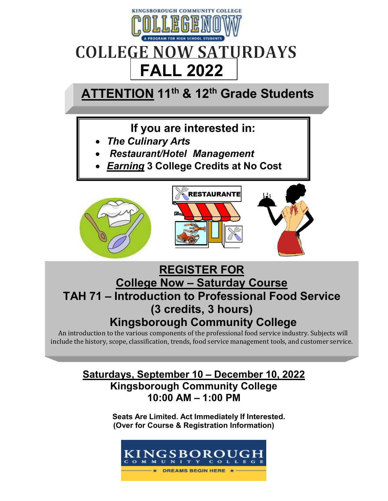

# **COLLEGE NOW SATURDAYS FALL 2022**

## **ATTENTION 11th & 12th Grade Students**

## **If you are interested in:**

- *The Culinary Arts*
- *Restaurant/Hotel Management*
- *Earning* **3 College Credits at No Cost**







## **REGISTER FOR College Now – Saturday Course TAH 71 – Introduction to Professional Food Service (3 credits, 3 hours) Kingsborough Community College**

An introduction to the various components of the professional food service industry. Subjects will include the history, scope, classification, trends, food service management tools, and customer service.

## **Saturdays, September 10 – December 10, 2022 Kingsborough Community College 10:00 AM – 1:00 PM**

**Seats Are Limited. Act Immediately If Interested. (Over for Course & Registration Information)**